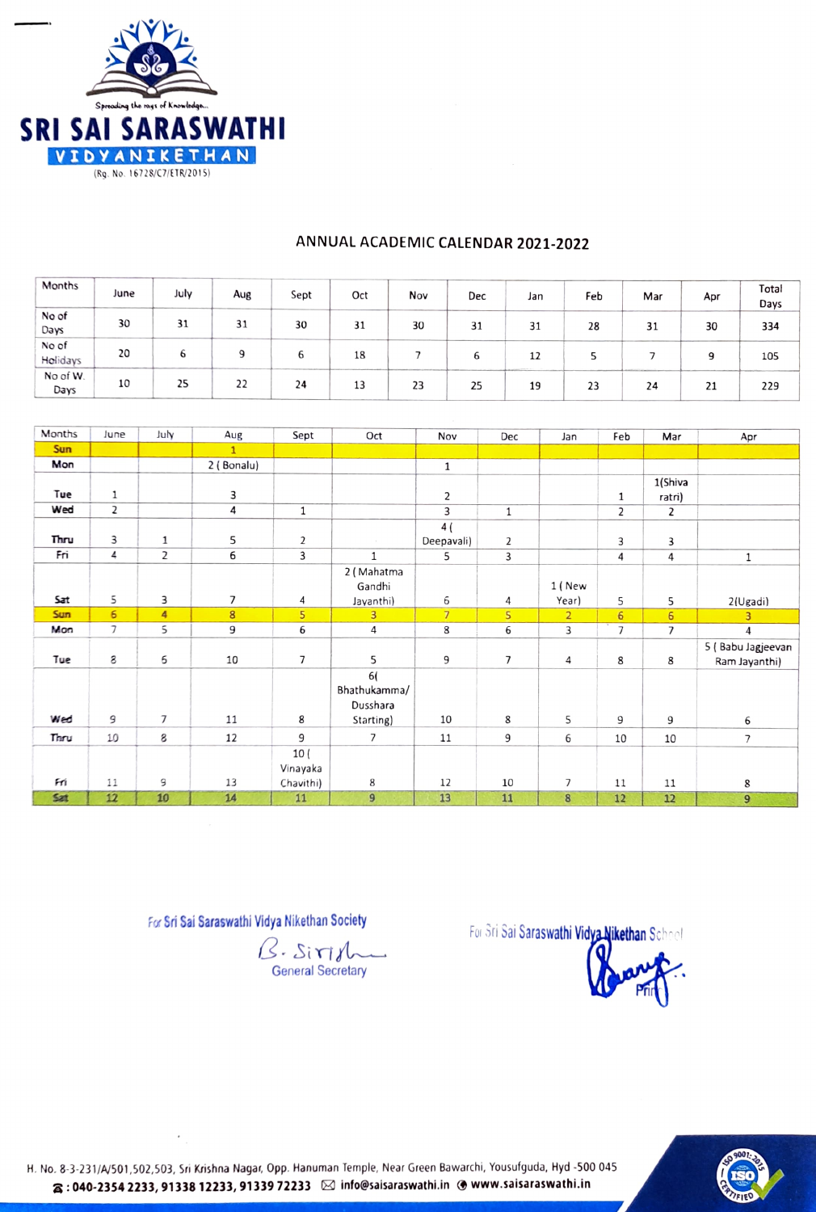

| Months            | June | July | Aug | Sept | Oct | Nov | Dec | Jan | Feb | Mar | Apr | Total<br>Days |
|-------------------|------|------|-----|------|-----|-----|-----|-----|-----|-----|-----|---------------|
| No of<br>Days     | 30   | 31   | 31  | 30   | 31  | 30  | 31  | 31  | 28  | 31  | 30  | 334           |
| No of<br>Holidays | 20   | ь    | Q   | p    | 18  |     | b   | 12  |     |     | 9   | 105           |
| No of W.<br>Days  | 10   | 25   | 22  | 24   | 13  | 23  | 25  | 19  | 23  | 24  | 21  | 229           |

## ANNUAL ACADEMIC CALENDAR 2021-2022

| Months     | June           | July           | Aug            | Sept           | Oct            | Nov            | Dec          | Jan            | Feb             | Mar            | Apr               |
|------------|----------------|----------------|----------------|----------------|----------------|----------------|--------------|----------------|-----------------|----------------|-------------------|
| <b>Sun</b> |                |                | $\mathbf{1}$   |                |                |                |              |                |                 |                |                   |
| Mon        |                |                | 2 (Bonalu)     |                |                | $\mathbf 1$    |              |                |                 |                |                   |
|            |                |                |                |                |                |                |              |                |                 | 1(Shiva        |                   |
| Tue        | $\mathbf{1}$   |                | 3              |                |                | $\mathbf{2}$   |              |                | $\mathbf{1}$    | ratri)         |                   |
| Wed        | $\overline{2}$ |                | 4              | $\mathbf{1}$   |                | 3              | $\mathbf{1}$ |                | $\overline{2}$  | $\overline{2}$ |                   |
|            |                |                |                |                |                | 4(             |              |                |                 |                |                   |
| Thru       | 3              | $\mathbf{1}$   | 5              | $\overline{2}$ |                | Deepavali)     | 2            |                | 3               | 3              |                   |
| Fri        | 4              | $\overline{2}$ | 6              | 3              | $\mathbf{1}$   | 5              | 3            |                | 4               | 4              | 1                 |
|            |                |                |                |                | 2 (Mahatma     |                |              |                |                 |                |                   |
|            |                |                |                |                | Gandhi         |                |              | 1 (New         |                 |                |                   |
| Sat        | 5              | 3              | $\overline{7}$ | 4              | Jayanthi)      | 6              | 4            | Year)          | 5               | 5              | 2(Ugadi)          |
| <b>Sun</b> | 6              | 4              | 8              | 5              | $\overline{3}$ | $\overline{7}$ | 5            | $\overline{2}$ | $6\overline{6}$ | 6              | 3                 |
| Mon        | $\overline{7}$ | 5              | 9              | 6              | 4              | 8              | 6            | 3              | $\overline{7}$  | $\overline{7}$ | 4                 |
|            |                |                |                |                |                |                |              |                |                 |                | 5 (Babu Jagjeevan |
| Tue        | 8              | 6              | 10             | 7              | 5              | 9              | 7            | 4              | 8               | 8              | Ram Jayanthi)     |
|            |                |                |                |                | 6(             |                |              |                |                 |                |                   |
|            |                |                |                |                | Bhathukamma/   |                |              |                |                 |                |                   |
|            |                |                |                |                | Dusshara       |                |              |                |                 |                |                   |
| Wed        | 9              | $\overline{7}$ | 11             | 8              | Starting)      | 10             | 8            | 5              | 9               | 9              | 6                 |
| Thru       | 10             | 8              | 12             | 9              | $\overline{7}$ | 11             | 9            | 6              | 10              | 10             | $\overline{7}$    |
|            |                |                |                | 10(            |                |                |              |                |                 |                |                   |
|            |                |                |                | Vinayaka       |                |                |              |                |                 |                |                   |
| Fri        | 11             | 9              | 13             | Chavithi)      | 8              | 12             | 10           | $\overline{7}$ | 11              | 11             | 8                 |
| Sat        | 12             | 10             | 14             | 11             | $\overline{9}$ | 13             | 11           | 8              | 12              | 12             | 9                 |

 $B.$  Siris General Secretary

For Sri Sai Saraswathi Vidya Nikethan Society For Sri Sai Saraswathi Vidya Nikethan School



H. No.8-3-231/A/501,502,503, Sri Krishna Naga, Opp. Hanuman Temple, Near Green Bawarchi, Yousufguda, Hyd-500 045  $\alpha:$  040-2354 2233, 91338 12233, 91339 72233  $\,\boxtimes\,$  info@saisaraswathi.in @www.saisaraswathi.in